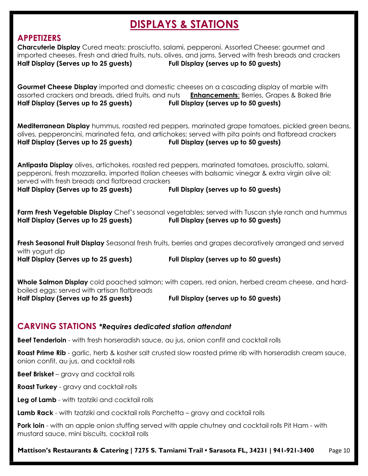## DISPLAYS & STATIONS

## APPETIZERS

| Half Display (Serves up to 25 guests)                                                                                                                        | <b>Charcuterie Display</b> Cured meats: prosciutto, salami, pepperoni. Assorted Cheese: gourmet and<br>imported cheeses. Fresh and dried fruits, nuts, olives, and jams. Served with fresh breads and crackers<br>Full Display (serves up to 50 guests) |
|--------------------------------------------------------------------------------------------------------------------------------------------------------------|---------------------------------------------------------------------------------------------------------------------------------------------------------------------------------------------------------------------------------------------------------|
| Half Display (Serves up to 25 guests)                                                                                                                        | <b>Gourmet Cheese Display</b> imported and domestic cheeses on a cascading display of marble with<br>assorted crackers and breads, dried fruits, and nuts <b>Enhancements:</b> Berries, Grapes & Baked Brie<br>Full Display (serves up to 50 guests)    |
| Half Display (Serves up to 25 guests)                                                                                                                        | Mediterranean Display hummus, roasted red peppers, marinated grape tomatoes, pickled green beans,<br>olives, pepperoncini, marinated feta, and artichokes; served with pita points and flatbread crackers<br>Full Display (serves up to 50 guests)      |
| served with fresh breads and flatbread crackers<br>Half Display (Serves up to 25 guests)                                                                     | Antipasta Display olives, artichokes, roasted red peppers, marinated tomatoes, prosciutto, salami,<br>pepperoni, fresh mozzarella, imported Italian cheeses with balsamic vinegar & extra virgin olive oil;<br>Full Display (serves up to 50 guests)    |
| Half Display (Serves up to 25 guests)                                                                                                                        | Farm Fresh Vegetable Display Chef's seasonal vegetables; served with Tuscan style ranch and hummus<br>Full Display (serves up to 50 guests)                                                                                                             |
| with yogurt dip<br>Half Display (Serves up to 25 guests)                                                                                                     | Fresh Seasonal Fruit Display Seasonal fresh fruits, berries and grapes decoratively arranged and served<br>Full Display (serves up to 50 guests)                                                                                                        |
| boiled eggs; served with artisan flatbreads<br>Half Display (Serves up to 25 guests)                                                                         | <b>Whole Salmon Display</b> cold poached salmon; with capers, red onion, herbed cream cheese, and hard-<br>Full Display (serves up to 50 guests)                                                                                                        |
| <b>CARVING STATIONS *Requires dedicated station attendant</b>                                                                                                |                                                                                                                                                                                                                                                         |
| <b>Beef Tenderloin</b> - with fresh horseradish sauce, au jus, onion confit and cocktail rolls                                                               |                                                                                                                                                                                                                                                         |
| <b>Roast Prime Rib</b> - garlic, herb & kosher salt crusted slow roasted prime rib with horseradish cream sauce,<br>onion confit, au jus, and cocktail rolls |                                                                                                                                                                                                                                                         |
| <b>Beef Brisket</b> – gravy and cocktail rolls                                                                                                               |                                                                                                                                                                                                                                                         |
| Roast Turkey - gravy and cocktail rolls                                                                                                                      |                                                                                                                                                                                                                                                         |
| Leg of Lamb - with tzatziki and cocktail rolls                                                                                                               |                                                                                                                                                                                                                                                         |

Lamb Rack - with tzatziki and cocktail rolls Porchetta - gravy and cocktail rolls

Pork loin - with an apple onion stuffing served with apple chutney and cocktail rolls Pit Ham - with mustard sauce, mini biscuits, cocktail rolls

Mattison's Restaurants & Catering | 7275 S. Tamiami Trail • Sarasota FL, 34231 | 941-921-3400 Page 10